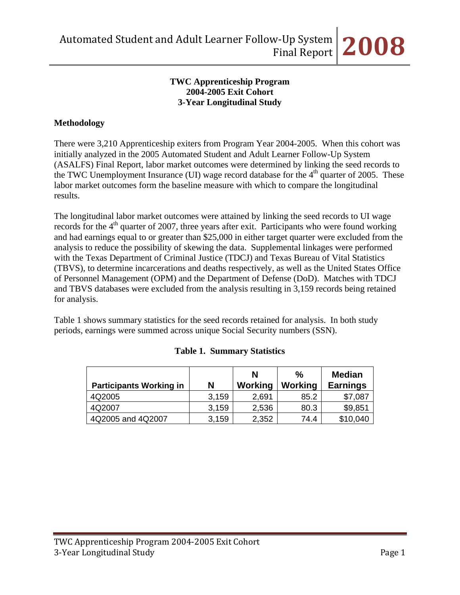#### **TWC Apprenticeship Program 2004-2005 Exit Cohort 3-Year Longitudinal Study**

#### **Methodology**

There were 3,210 Apprenticeship exiters from Program Year 2004-2005. When this cohort was initially analyzed in the 2005 Automated Student and Adult Learner Follow-Up System (ASALFS) Final Report, labor market outcomes were determined by linking the seed records to the TWC Unemployment Insurance (UI) wage record database for the  $4<sup>th</sup>$  quarter of 2005. These labor market outcomes form the baseline measure with which to compare the longitudinal results.

The longitudinal labor market outcomes were attained by linking the seed records to UI wage records for the 4<sup>th</sup> quarter of 2007, three years after exit. Participants who were found working and had earnings equal to or greater than \$25,000 in either target quarter were excluded from the analysis to reduce the possibility of skewing the data. Supplemental linkages were performed with the Texas Department of Criminal Justice (TDCJ) and Texas Bureau of Vital Statistics (TBVS), to determine incarcerations and deaths respectively, as well as the United States Office of Personnel Management (OPM) and the Department of Defense (DoD). Matches with TDCJ and TBVS databases were excluded from the analysis resulting in 3,159 records being retained for analysis.

Table 1 shows summary statistics for the seed records retained for analysis. In both study periods, earnings were summed across unique Social Security numbers (SSN).

| <b>Participants Working in</b> | N     | N<br>Working | $\%$<br>Working | <b>Median</b><br><b>Earnings</b> |
|--------------------------------|-------|--------------|-----------------|----------------------------------|
| 4Q2005                         | 3.159 | 2,691        | 85.2            | \$7,087                          |
| 4Q2007                         | 3.159 | 2,536        | 80.3            | \$9,851                          |
| 4Q2005 and 4Q2007              | 3,159 | 2,352        | 74.4            | \$10,040                         |

#### **Table 1. Summary Statistics**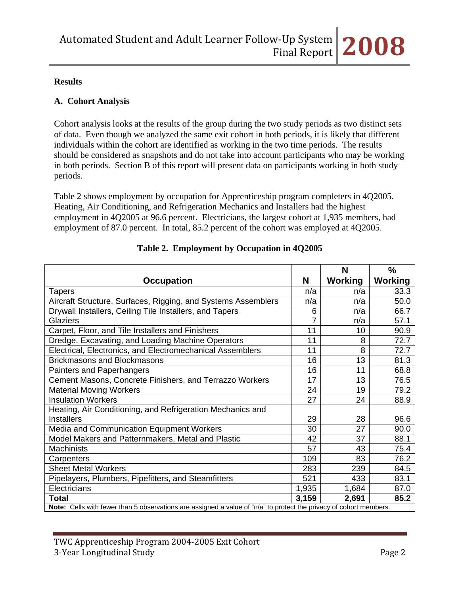#### **Results**

#### **A. Cohort Analysis**

Cohort analysis looks at the results of the group during the two study periods as two distinct sets of data. Even though we analyzed the same exit cohort in both periods, it is likely that different individuals within the cohort are identified as working in the two time periods. The results should be considered as snapshots and do not take into account participants who may be working in both periods. Section B of this report will present data on participants working in both study periods.

Table 2 shows employment by occupation for Apprenticeship program completers in 4Q2005. Heating, Air Conditioning, and Refrigeration Mechanics and Installers had the highest employment in 4Q2005 at 96.6 percent. Electricians, the largest cohort at 1,935 members, had employment of 87.0 percent. In total, 85.2 percent of the cohort was employed at 4Q2005.

|                                                                                                                    |       | N       | $\frac{9}{6}$ |
|--------------------------------------------------------------------------------------------------------------------|-------|---------|---------------|
| <b>Occupation</b>                                                                                                  | N     | Working | Working       |
| Tapers                                                                                                             | n/a   | n/a     | 33.3          |
| Aircraft Structure, Surfaces, Rigging, and Systems Assemblers                                                      | n/a   | n/a     | 50.0          |
| Drywall Installers, Ceiling Tile Installers, and Tapers                                                            | 6     | n/a     | 66.7          |
| Glaziers                                                                                                           | 7     | n/a     | 57.1          |
| Carpet, Floor, and Tile Installers and Finishers                                                                   | 11    | 10      | 90.9          |
| Dredge, Excavating, and Loading Machine Operators                                                                  | 11    | 8       | 72.7          |
| Electrical, Electronics, and Electromechanical Assemblers                                                          | 11    | 8       | 72.7          |
| <b>Brickmasons and Blockmasons</b>                                                                                 | 16    | 13      | 81.3          |
| Painters and Paperhangers                                                                                          | 16    | 11      | 68.8          |
| Cement Masons, Concrete Finishers, and Terrazzo Workers                                                            | 17    | 13      | 76.5          |
| <b>Material Moving Workers</b>                                                                                     | 24    | 19      | 79.2          |
| <b>Insulation Workers</b>                                                                                          | 27    | 24      | 88.9          |
| Heating, Air Conditioning, and Refrigeration Mechanics and                                                         |       |         |               |
| <b>Installers</b>                                                                                                  | 29    | 28      | 96.6          |
| Media and Communication Equipment Workers                                                                          | 30    | 27      | 90.0          |
| Model Makers and Patternmakers, Metal and Plastic                                                                  | 42    | 37      | 88.1          |
| <b>Machinists</b>                                                                                                  | 57    | 43      | 75.4          |
| Carpenters                                                                                                         | 109   | 83      | 76.2          |
| <b>Sheet Metal Workers</b>                                                                                         | 283   | 239     | 84.5          |
| Pipelayers, Plumbers, Pipefitters, and Steamfitters                                                                | 521   | 433     | 83.1          |
| Electricians                                                                                                       | 1,935 | 1,684   | 87.0          |
| <b>Total</b>                                                                                                       | 3,159 | 2,691   | 85.2          |
| Note: Cells with fewer than 5 observations are assigned a value of "n/a" to protect the privacy of cohort members. |       |         |               |

#### **Table 2. Employment by Occupation in 4Q2005**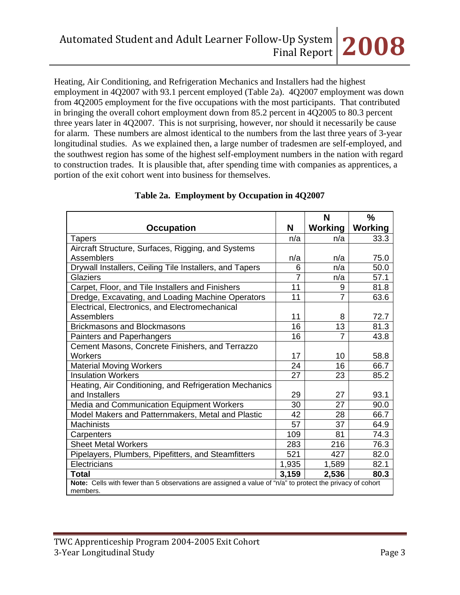Heating, Air Conditioning, and Refrigeration Mechanics and Installers had the highest employment in 4Q2007 with 93.1 percent employed (Table 2a). 4Q2007 employment was down from 4Q2005 employment for the five occupations with the most participants. That contributed in bringing the overall cohort employment down from 85.2 percent in 4Q2005 to 80.3 percent three years later in 4Q2007. This is not surprising, however, nor should it necessarily be cause for alarm. These numbers are almost identical to the numbers from the last three years of 3-year longitudinal studies. As we explained then, a large number of tradesmen are self-employed, and the southwest region has some of the highest self-employment numbers in the nation with regard to construction trades. It is plausible that, after spending time with companies as apprentices, a portion of the exit cohort went into business for themselves.

|                                                                                                                       |                | N              | %              |
|-----------------------------------------------------------------------------------------------------------------------|----------------|----------------|----------------|
| <b>Occupation</b>                                                                                                     | N              | <b>Working</b> | <b>Working</b> |
| <b>Tapers</b>                                                                                                         | n/a            | n/a            | 33.3           |
| Aircraft Structure, Surfaces, Rigging, and Systems                                                                    |                |                |                |
| Assemblers                                                                                                            | n/a            | n/a            | 75.0           |
| Drywall Installers, Ceiling Tile Installers, and Tapers                                                               | 6              | n/a            | 50.0           |
| Glaziers                                                                                                              | $\overline{7}$ | n/a            | 57.1           |
| Carpet, Floor, and Tile Installers and Finishers                                                                      | 11             | 9              | 81.8           |
| Dredge, Excavating, and Loading Machine Operators                                                                     | 11             | $\overline{7}$ | 63.6           |
| Electrical, Electronics, and Electromechanical                                                                        |                |                |                |
| Assemblers                                                                                                            | 11             | 8              | 72.7           |
| <b>Brickmasons and Blockmasons</b>                                                                                    | 16             | 13             | 81.3           |
| Painters and Paperhangers                                                                                             | 16             | $\overline{7}$ | 43.8           |
| Cement Masons, Concrete Finishers, and Terrazzo                                                                       |                |                |                |
| Workers                                                                                                               | 17             | 10             | 58.8           |
| <b>Material Moving Workers</b>                                                                                        | 24             | 16             | 66.7           |
| <b>Insulation Workers</b>                                                                                             | 27             | 23             | 85.2           |
| Heating, Air Conditioning, and Refrigeration Mechanics                                                                |                |                |                |
| and Installers                                                                                                        | 29             | 27             | 93.1           |
| Media and Communication Equipment Workers                                                                             | 30             | 27             | 90.0           |
| Model Makers and Patternmakers, Metal and Plastic                                                                     | 42             | 28             | 66.7           |
| <b>Machinists</b>                                                                                                     | 57             | 37             | 64.9           |
| Carpenters                                                                                                            | 109            | 81             | 74.3           |
| <b>Sheet Metal Workers</b>                                                                                            | 283            | 216            | 76.3           |
| Pipelayers, Plumbers, Pipefitters, and Steamfitters                                                                   | 521            | 427            | 82.0           |
| Electricians                                                                                                          | 1,935          | 1,589          | 82.1           |
| <b>Total</b>                                                                                                          | 3,159          | 2,536          | 80.3           |
| Note: Cells with fewer than 5 observations are assigned a value of "n/a" to protect the privacy of cohort<br>members. |                |                |                |

#### **Table 2a. Employment by Occupation in 4Q2007**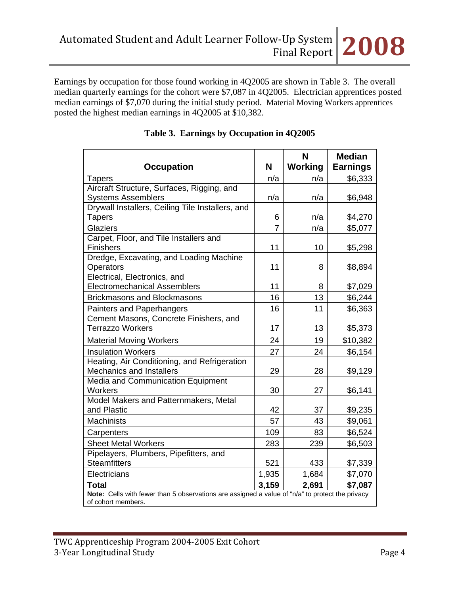Earnings by occupation for those found working in 4Q2005 are shown in Table 3. The overall median quarterly earnings for the cohort were \$7,087 in 4Q2005. Electrician apprentices posted median earnings of \$7,070 during the initial study period. Material Moving Workers apprentices posted the highest median earnings in 4Q2005 at \$10,382.

|                                                                                                                       |       | N       | <b>Median</b>   |
|-----------------------------------------------------------------------------------------------------------------------|-------|---------|-----------------|
| <b>Occupation</b>                                                                                                     | N     | Working | <b>Earnings</b> |
| Tapers                                                                                                                | n/a   | n/a     | \$6,333         |
| Aircraft Structure, Surfaces, Rigging, and                                                                            |       |         |                 |
| <b>Systems Assemblers</b><br>Drywall Installers, Ceiling Tile Installers, and                                         | n/a   | n/a     | \$6,948         |
| <b>Tapers</b>                                                                                                         | 6     | n/a     | \$4,270         |
| <b>Glaziers</b>                                                                                                       | 7     | n/a     | \$5,077         |
| Carpet, Floor, and Tile Installers and                                                                                |       |         |                 |
| <b>Finishers</b>                                                                                                      | 11    | 10      | \$5,298         |
| Dredge, Excavating, and Loading Machine                                                                               |       |         |                 |
| Operators                                                                                                             | 11    | 8       | \$8,894         |
| Electrical, Electronics, and                                                                                          |       |         |                 |
| <b>Electromechanical Assemblers</b>                                                                                   | 11    | 8       | \$7,029         |
| <b>Brickmasons and Blockmasons</b>                                                                                    | 16    | 13      | \$6,244         |
| Painters and Paperhangers                                                                                             | 16    | 11      | \$6,363         |
| Cement Masons, Concrete Finishers, and                                                                                |       |         |                 |
| <b>Terrazzo Workers</b>                                                                                               | 17    | 13      | \$5,373         |
| <b>Material Moving Workers</b>                                                                                        | 24    | 19      | \$10,382        |
| <b>Insulation Workers</b>                                                                                             | 27    | 24      | \$6,154         |
| Heating, Air Conditioning, and Refrigeration                                                                          |       |         |                 |
| Mechanics and Installers                                                                                              | 29    | 28      | \$9,129         |
| Media and Communication Equipment                                                                                     |       |         |                 |
| Workers                                                                                                               | 30    | 27      | \$6,141         |
| Model Makers and Patternmakers, Metal<br>and Plastic                                                                  | 42    | 37      |                 |
|                                                                                                                       |       |         | \$9,235         |
| Machinists                                                                                                            | 57    | 43      | \$9,061         |
| Carpenters                                                                                                            | 109   | 83      | \$6,524         |
| <b>Sheet Metal Workers</b>                                                                                            | 283   | 239     | \$6,503         |
| Pipelayers, Plumbers, Pipefitters, and                                                                                |       |         |                 |
| <b>Steamfitters</b>                                                                                                   | 521   | 433     | \$7,339         |
| Electricians                                                                                                          | 1,935 | 1,684   | \$7,070         |
| <b>Total</b>                                                                                                          | 3,159 | 2,691   | \$7,087         |
| Note: Cells with fewer than 5 observations are assigned a value of "n/a" to protect the privacy<br>of cohort members. |       |         |                 |

# **Table 3. Earnings by Occupation in 4Q2005**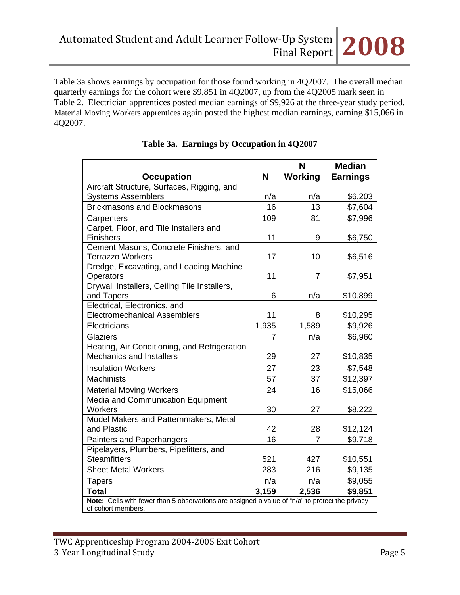Table 3a shows earnings by occupation for those found working in 4Q2007. The overall median quarterly earnings for the cohort were \$9,851 in 4Q2007, up from the 4Q2005 mark seen in Table 2. Electrician apprentices posted median earnings of \$9,926 at the three-year study period. Material Moving Workers apprentices again posted the highest median earnings, earning \$15,066 in 4Q2007.

| <b>Occupation</b>                                                                                                     |                |                | <b>Median</b>   |
|-----------------------------------------------------------------------------------------------------------------------|----------------|----------------|-----------------|
|                                                                                                                       | N              | Working        | <b>Earnings</b> |
| Aircraft Structure, Surfaces, Rigging, and                                                                            |                |                |                 |
| <b>Systems Assemblers</b>                                                                                             | n/a            | n/a            | \$6,203         |
| <b>Brickmasons and Blockmasons</b>                                                                                    | 16             | 13             | \$7,604         |
| Carpenters                                                                                                            | 109            | 81             | \$7,996         |
| Carpet, Floor, and Tile Installers and                                                                                |                |                |                 |
| Finishers                                                                                                             | 11             | 9              | \$6,750         |
| Cement Masons, Concrete Finishers, and                                                                                |                |                |                 |
| <b>Terrazzo Workers</b>                                                                                               | 17             | 10             | \$6,516         |
| Dredge, Excavating, and Loading Machine                                                                               |                |                |                 |
| Operators                                                                                                             | 11             | $\overline{7}$ | \$7,951         |
| Drywall Installers, Ceiling Tile Installers,                                                                          |                |                |                 |
| and Tapers<br>Electrical, Electronics, and                                                                            | 6              | n/a            | \$10,899        |
| <b>Electromechanical Assemblers</b>                                                                                   | 11             | 8              | \$10,295        |
| Electricians                                                                                                          | 1,935          | 1,589          | \$9,926         |
| <b>Glaziers</b>                                                                                                       | $\overline{7}$ | n/a            | \$6,960         |
| Heating, Air Conditioning, and Refrigeration                                                                          |                |                |                 |
| <b>Mechanics and Installers</b>                                                                                       | 29             | 27             | \$10,835        |
| <b>Insulation Workers</b>                                                                                             | 27             | 23             | \$7,548         |
| <b>Machinists</b>                                                                                                     | 57             | 37             | \$12,397        |
| <b>Material Moving Workers</b>                                                                                        | 24             | 16             | \$15,066        |
| Media and Communication Equipment                                                                                     |                |                |                 |
| Workers                                                                                                               | 30             | 27             | \$8,222         |
| Model Makers and Patternmakers, Metal                                                                                 |                |                |                 |
| and Plastic                                                                                                           | 42             | 28             | \$12,124        |
| Painters and Paperhangers                                                                                             | 16             | $\overline{7}$ | \$9,718         |
| Pipelayers, Plumbers, Pipefitters, and                                                                                |                |                |                 |
| <b>Steamfitters</b>                                                                                                   | 521            | 427            | \$10,551        |
| <b>Sheet Metal Workers</b>                                                                                            | 283            | 216            | \$9,135         |
| <b>Tapers</b>                                                                                                         | n/a            | n/a            | \$9,055         |
| <b>Total</b>                                                                                                          | 3,159          | 2,536          | \$9,851         |
| Note: Cells with fewer than 5 observations are assigned a value of "n/a" to protect the privacy<br>of cohort members. |                |                |                 |

## **Table 3a. Earnings by Occupation in 4Q2007**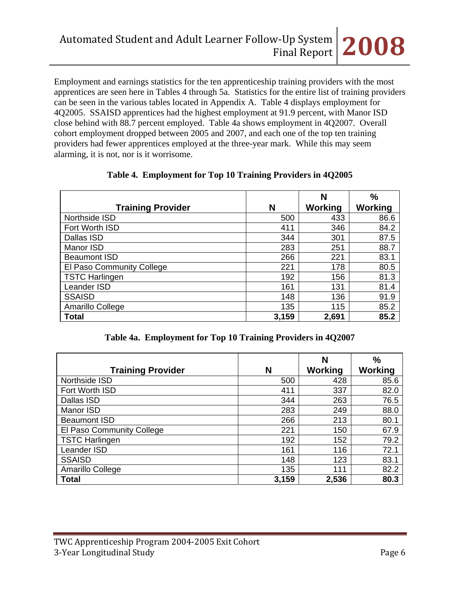Employment and earnings statistics for the ten apprenticeship training providers with the most apprentices are seen here in Tables 4 through 5a. Statistics for the entire list of training providers can be seen in the various tables located in Appendix A. Table 4 displays employment for 4Q2005. SSAISD apprentices had the highest employment at 91.9 percent, with Manor ISD close behind with 88.7 percent employed. Table 4a shows employment in 4Q2007. Overall cohort employment dropped between 2005 and 2007, and each one of the top ten training providers had fewer apprentices employed at the three-year mark. While this may seem alarming, it is not, nor is it worrisome.

|                           |       | N       | $\frac{9}{6}$ |
|---------------------------|-------|---------|---------------|
| <b>Training Provider</b>  | N     | Working | Working       |
| Northside ISD             | 500   | 433     | 86.6          |
| Fort Worth ISD            | 411   | 346     | 84.2          |
| Dallas ISD                | 344   | 301     | 87.5          |
| Manor ISD                 | 283   | 251     | 88.7          |
| <b>Beaumont ISD</b>       | 266   | 221     | 83.1          |
| El Paso Community College | 221   | 178     | 80.5          |
| <b>TSTC Harlingen</b>     | 192   | 156     | 81.3          |
| Leander ISD               | 161   | 131     | 81.4          |
| <b>SSAISD</b>             | 148   | 136     | 91.9          |
| Amarillo College          | 135   | 115     | 85.2          |
| <b>Total</b>              | 3,159 | 2,691   | 85.2          |

#### **Table 4. Employment for Top 10 Training Providers in 4Q2005**

**Table 4a. Employment for Top 10 Training Providers in 4Q2007**

|                           |       | N       | %       |
|---------------------------|-------|---------|---------|
| <b>Training Provider</b>  | N     | Working | Working |
| Northside ISD             | 500   | 428     | 85.6    |
| Fort Worth ISD            | 411   | 337     | 82.0    |
| Dallas ISD                | 344   | 263     | 76.5    |
| Manor ISD                 | 283   | 249     | 88.0    |
| <b>Beaumont ISD</b>       | 266   | 213     | 80.1    |
| El Paso Community College | 221   | 150     | 67.9    |
| <b>TSTC Harlingen</b>     | 192   | 152     | 79.2    |
| Leander ISD               | 161   | 116     | 72.1    |
| <b>SSAISD</b>             | 148   | 123     | 83.1    |
| Amarillo College          | 135   | 111     | 82.2    |
| <b>Total</b>              | 3.159 | 2,536   | 80.3    |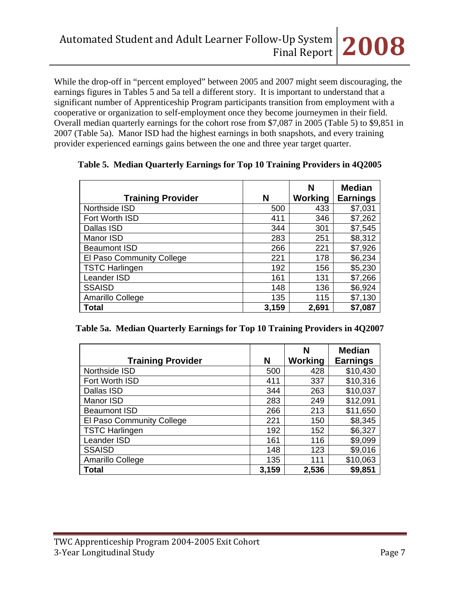While the drop-off in "percent employed" between 2005 and 2007 might seem discouraging, the earnings figures in Tables 5 and 5a tell a different story. It is important to understand that a significant number of Apprenticeship Program participants transition from employment with a cooperative or organization to self-employment once they become journeymen in their field. Overall median quarterly earnings for the cohort rose from \$7,087 in 2005 (Table 5) to \$9,851 in 2007 (Table 5a). Manor ISD had the highest earnings in both snapshots, and every training provider experienced earnings gains between the one and three year target quarter.

|                           |       | N              | <b>Median</b>   |
|---------------------------|-------|----------------|-----------------|
| <b>Training Provider</b>  | N     | <b>Working</b> | <b>Earnings</b> |
| Northside ISD             | 500   | 433            | \$7,031         |
| Fort Worth ISD            | 411   | 346            | \$7,262         |
| Dallas ISD                | 344   | 301            | \$7,545         |
| Manor ISD                 | 283   | 251            | \$8,312         |
| <b>Beaumont ISD</b>       | 266   | 221            | \$7,926         |
| El Paso Community College | 221   | 178            | \$6,234         |
| <b>TSTC Harlingen</b>     | 192   | 156            | \$5,230         |
| Leander ISD               | 161   | 131            | \$7,266         |
| <b>SSAISD</b>             | 148   | 136            | \$6,924         |
| Amarillo College          | 135   | 115            | \$7,130         |
| Total                     | 3,159 | 2,691          | \$7,087         |

#### **Table 5. Median Quarterly Earnings for Top 10 Training Providers in 4Q2005**

|  |  |  |  |  |  | Table 5a. Median Quarterly Earnings for Top 10 Training Providers in 4Q2007 |  |
|--|--|--|--|--|--|-----------------------------------------------------------------------------|--|
|--|--|--|--|--|--|-----------------------------------------------------------------------------|--|

|                           |       | N       | <b>Median</b>   |
|---------------------------|-------|---------|-----------------|
| <b>Training Provider</b>  | N     | Working | <b>Earnings</b> |
| Northside ISD             | 500   | 428     | \$10,430        |
| Fort Worth ISD            | 411   | 337     | \$10,316        |
| Dallas ISD                | 344   | 263     | \$10,037        |
| Manor ISD                 | 283   | 249     | \$12,091        |
| <b>Beaumont ISD</b>       | 266   | 213     | \$11,650        |
| El Paso Community College | 221   | 150     | \$8,345         |
| <b>TSTC Harlingen</b>     | 192   | 152     | \$6,327         |
| Leander ISD               | 161   | 116     | \$9,099         |
| <b>SSAISD</b>             | 148   | 123     | \$9,016         |
| Amarillo College          | 135   | 111     | \$10,063        |
| Total                     | 3,159 | 2,536   | \$9,851         |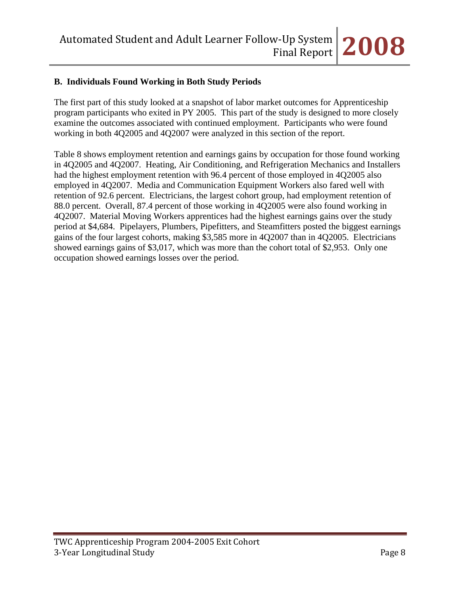#### **B. Individuals Found Working in Both Study Periods**

The first part of this study looked at a snapshot of labor market outcomes for Apprenticeship program participants who exited in PY 2005. This part of the study is designed to more closely examine the outcomes associated with continued employment. Participants who were found working in both 4Q2005 and 4Q2007 were analyzed in this section of the report.

Table 8 shows employment retention and earnings gains by occupation for those found working in 4Q2005 and 4Q2007. Heating, Air Conditioning, and Refrigeration Mechanics and Installers had the highest employment retention with 96.4 percent of those employed in 4Q2005 also employed in 4Q2007. Media and Communication Equipment Workers also fared well with retention of 92.6 percent. Electricians, the largest cohort group, had employment retention of 88.0 percent. Overall, 87.4 percent of those working in 4Q2005 were also found working in 4Q2007. Material Moving Workers apprentices had the highest earnings gains over the study period at \$4,684. Pipelayers, Plumbers, Pipefitters, and Steamfitters posted the biggest earnings gains of the four largest cohorts, making \$3,585 more in 4Q2007 than in 4Q2005. Electricians showed earnings gains of \$3,017, which was more than the cohort total of \$2,953. Only one occupation showed earnings losses over the period.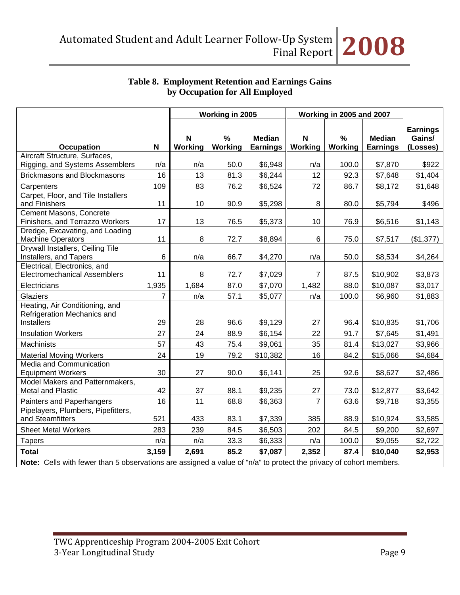## **Table 8. Employment Retention and Earnings Gains by Occupation for All Employed**

|                                                                                                                    |             | Working in 2005 |              |                                  | Working in 2005 and 2007      |                 |                                  |                                       |
|--------------------------------------------------------------------------------------------------------------------|-------------|-----------------|--------------|----------------------------------|-------------------------------|-----------------|----------------------------------|---------------------------------------|
| Occupation                                                                                                         | $\mathbf N$ | N<br>Working    | %<br>Working | <b>Median</b><br><b>Earnings</b> | $\mathsf N$<br><b>Working</b> | $\%$<br>Working | <b>Median</b><br><b>Earnings</b> | <b>Earnings</b><br>Gains/<br>(Losses) |
| Aircraft Structure, Surfaces,                                                                                      |             |                 |              |                                  |                               |                 |                                  |                                       |
| Rigging, and Systems Assemblers                                                                                    | n/a         | n/a             | 50.0         | \$6,948                          | n/a                           | 100.0           | \$7,870                          | \$922                                 |
| <b>Brickmasons and Blockmasons</b>                                                                                 | 16          | 13              | 81.3         | \$6,244                          | 12                            | 92.3            | \$7,648                          | \$1,404                               |
| Carpenters                                                                                                         | 109         | 83              | 76.2         | \$6,524                          | 72                            | 86.7            | \$8,172                          | \$1,648                               |
| Carpet, Floor, and Tile Installers                                                                                 |             |                 |              |                                  |                               |                 |                                  |                                       |
| and Finishers                                                                                                      | 11          | 10              | 90.9         | \$5,298                          | 8                             | 80.0            | \$5,794                          | \$496                                 |
| Cement Masons, Concrete<br>Finishers, and Terrazzo Workers                                                         | 17          | 13              | 76.5         | \$5,373                          | 10                            | 76.9            | \$6,516                          | \$1,143                               |
| Dredge, Excavating, and Loading<br><b>Machine Operators</b>                                                        | 11          | 8               | 72.7         | \$8,894                          | 6                             | 75.0            | \$7,517                          | (\$1,377)                             |
| Drywall Installers, Ceiling Tile<br>Installers, and Tapers                                                         | 6           | n/a             | 66.7         | \$4,270                          | n/a                           | 50.0            | \$8,534                          | \$4,264                               |
| Electrical, Electronics, and<br><b>Electromechanical Assemblers</b>                                                | 11          | 8               | 72.7         | \$7,029                          | $\overline{7}$                | 87.5            | \$10,902                         | \$3,873                               |
| Electricians                                                                                                       | 1,935       | 1,684           | 87.0         | \$7,070                          | 1,482                         | 88.0            | \$10,087                         | \$3,017                               |
| Glaziers                                                                                                           | 7           | n/a             | 57.1         | \$5,077                          | n/a                           | 100.0           | \$6,960                          | \$1,883                               |
| Heating, Air Conditioning, and<br>Refrigeration Mechanics and<br><b>Installers</b>                                 | 29          | 28              | 96.6         | \$9,129                          | 27                            | 96.4            | \$10,835                         | \$1,706                               |
| <b>Insulation Workers</b>                                                                                          | 27          | 24              | 88.9         | \$6,154                          | 22                            | 91.7            | \$7,645                          | \$1,491                               |
| Machinists                                                                                                         | 57          | 43              | 75.4         | \$9,061                          | 35                            | 81.4            | \$13,027                         | \$3,966                               |
| <b>Material Moving Workers</b>                                                                                     | 24          | 19              | 79.2         | \$10,382                         | 16                            | 84.2            | \$15,066                         | \$4,684                               |
| Media and Communication<br><b>Equipment Workers</b>                                                                | 30          | 27              | 90.0         | \$6,141                          | 25                            | 92.6            | \$8,627                          | \$2,486                               |
| Model Makers and Patternmakers,<br>Metal and Plastic                                                               | 42          | 37              | 88.1         | \$9,235                          | 27                            | 73.0            | \$12,877                         | \$3,642                               |
| Painters and Paperhangers                                                                                          | 16          | 11              | 68.8         | \$6,363                          | $\overline{7}$                | 63.6            | \$9,718                          | \$3,355                               |
| Pipelayers, Plumbers, Pipefitters,<br>and Steamfitters                                                             | 521         | 433             | 83.1         | \$7,339                          | 385                           | 88.9            | \$10,924                         | \$3,585                               |
| <b>Sheet Metal Workers</b>                                                                                         | 283         | 239             | 84.5         | \$6,503                          | 202                           | 84.5            | \$9,200                          | \$2,697                               |
| <b>Tapers</b>                                                                                                      | n/a         | n/a             | 33.3         | \$6,333                          | n/a                           | 100.0           | \$9,055                          | \$2,722                               |
| <b>Total</b>                                                                                                       | 3,159       | 2,691           | 85.2         | \$7,087                          | 2,352                         | 87.4            | \$10,040                         | \$2,953                               |
| Note: Cells with fewer than 5 observations are assigned a value of "n/a" to protect the privacy of cohort members. |             |                 |              |                                  |                               |                 |                                  |                                       |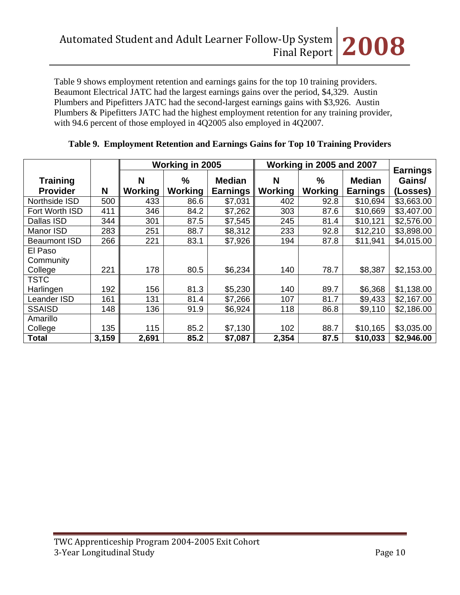Table 9 shows employment retention and earnings gains for the top 10 training providers. Beaumont Electrical JATC had the largest earnings gains over the period, \$4,329. Austin Plumbers and Pipefitters JATC had the second-largest earnings gains with \$3,926. Austin Plumbers & Pipefitters JATC had the highest employment retention for any training provider, with 94.6 percent of those employed in 4Q2005 also employed in 4Q2007.

|                     |       | Working in 2005 |         |                 | Working in 2005 and 2007 |         |                 | <b>Earnings</b> |
|---------------------|-------|-----------------|---------|-----------------|--------------------------|---------|-----------------|-----------------|
| <b>Training</b>     |       | N               | ℅       | <b>Median</b>   | N                        | %       | <b>Median</b>   | Gains/          |
| <b>Provider</b>     | N     | Working         | Working | <b>Earnings</b> | Working                  | Working | <b>Earnings</b> | (Losses)        |
| Northside ISD       | 500   | 433             | 86.6    | \$7,031         | 402                      | 92.8    | \$10,694        | \$3,663.00      |
| Fort Worth ISD      | 411   | 346             | 84.2    | \$7,262         | 303                      | 87.6    | \$10,669        | \$3,407.00      |
| Dallas ISD          | 344   | 301             | 87.5    | \$7,545         | 245                      | 81.4    | \$10,121        | \$2,576.00      |
| Manor ISD           | 283   | 251             | 88.7    | \$8,312         | 233                      | 92.8    | \$12,210        | \$3,898.00      |
| <b>Beaumont ISD</b> | 266   | 221             | 83.1    | \$7,926         | 194                      | 87.8    | \$11,941        | \$4,015.00      |
| El Paso             |       |                 |         |                 |                          |         |                 |                 |
| Community           |       |                 |         |                 |                          |         |                 |                 |
| College             | 221   | 178             | 80.5    | \$6,234         | 140                      | 78.7    | \$8,387         | \$2,153.00      |
| <b>TSTC</b>         |       |                 |         |                 |                          |         |                 |                 |
| Harlingen           | 192   | 156             | 81.3    | \$5,230         | 140                      | 89.7    | \$6,368         | \$1,138.00      |
| Leander ISD         | 161   | 131             | 81.4    | \$7,266         | 107                      | 81.7    | \$9,433         | \$2,167.00      |
| <b>SSAISD</b>       | 148   | 136             | 91.9    | \$6,924         | 118                      | 86.8    | \$9,110         | \$2,186.00      |
| Amarillo            |       |                 |         |                 |                          |         |                 |                 |
| College             | 135   | 115             | 85.2    | \$7,130         | 102                      | 88.7    | \$10,165        | \$3,035.00      |
| <b>Total</b>        | 3,159 | 2,691           | 85.2    | \$7,087         | 2,354                    | 87.5    | \$10,033        | \$2,946.00      |

#### **Table 9. Employment Retention and Earnings Gains for Top 10 Training Providers**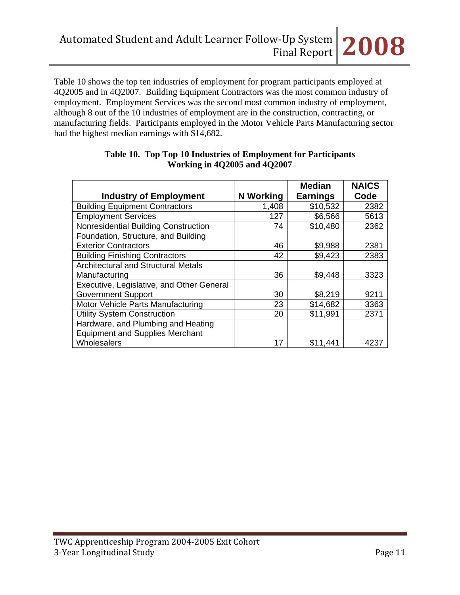Table 10 shows the top ten industries of employment for program participants employed at 4Q2005 and in 4Q2007. Building Equipment Contractors was the most common industry of employment. Employment Services was the second most common industry of employment, although 8 out of the 10 industries of employment are in the construction, contracting, or manufacturing fields. Participants employed in the Motor Vehicle Parts Manufacturing sector had the highest median earnings with \$14,682.

| <b>Industry of Employment</b>                                                | <b>N</b> Working | <b>Median</b><br><b>Earnings</b> | <b>NAICS</b><br>Code |
|------------------------------------------------------------------------------|------------------|----------------------------------|----------------------|
| <b>Building Equipment Contractors</b>                                        | 1,408            | \$10,532                         | 2382                 |
| <b>Employment Services</b>                                                   | 127              | \$6,566                          | 5613                 |
| Nonresidential Building Construction                                         | 74               | \$10,480                         | 2362                 |
| Foundation, Structure, and Building                                          |                  |                                  |                      |
| <b>Exterior Contractors</b>                                                  | 46               | \$9,988                          | 2381                 |
| <b>Building Finishing Contractors</b>                                        | 42               | \$9,423                          | 2383                 |
| <b>Architectural and Structural Metals</b>                                   |                  |                                  |                      |
| Manufacturing                                                                | 36               | \$9,448                          | 3323                 |
| Executive, Legislative, and Other General                                    |                  |                                  |                      |
| <b>Government Support</b>                                                    | 30               | \$8,219                          | 9211                 |
| Motor Vehicle Parts Manufacturing                                            | 23               | \$14,682                         | 3363                 |
| <b>Utility System Construction</b>                                           | 20               | \$11,991                         | 2371                 |
| Hardware, and Plumbing and Heating<br><b>Equipment and Supplies Merchant</b> |                  |                                  |                      |
| Wholesalers                                                                  | 17               | \$11,441                         | 4237                 |

#### **Table 10. Top Top 10 Industries of Employment for Participants Working in 4Q2005 and 4Q2007**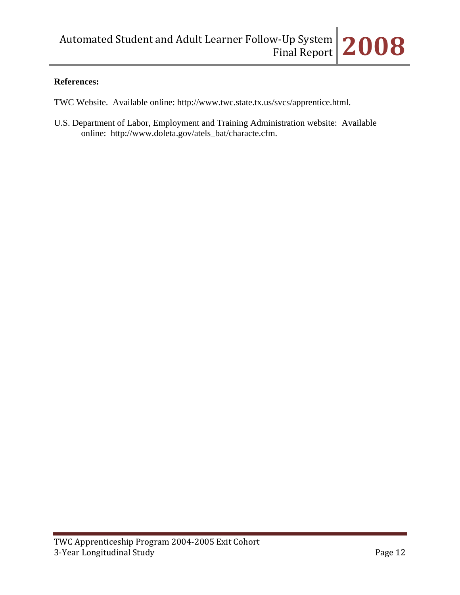#### **References:**

TWC Website. Available online: http://www.twc.state.tx.us/svcs/apprentice.html.

U.S. Department of Labor, Employment and Training Administration website: Available online: http://www.doleta.gov/atels\_bat/characte.cfm.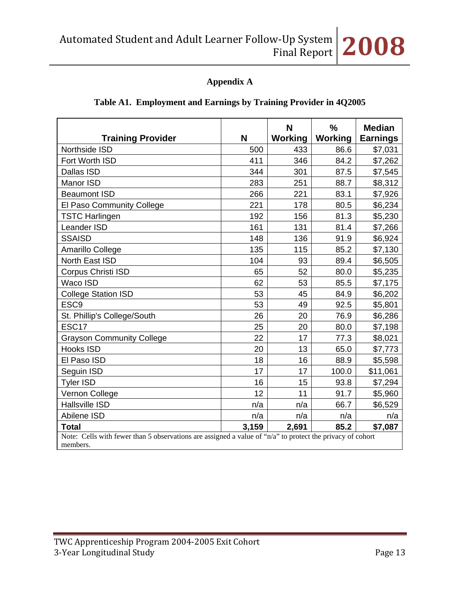# **Appendix A**

## **Table A1. Employment and Earnings by Training Provider in 4Q2005**

| <b>Training Provider</b>                                                                                              | N     | N<br><b>Working</b> | $\frac{1}{2}$<br>Working | <b>Median</b><br><b>Earnings</b> |
|-----------------------------------------------------------------------------------------------------------------------|-------|---------------------|--------------------------|----------------------------------|
| Northside ISD                                                                                                         | 500   | 433                 | 86.6                     | \$7,031                          |
| Fort Worth ISD                                                                                                        | 411   | 346                 | 84.2                     | \$7,262                          |
| Dallas ISD                                                                                                            | 344   | 301                 | 87.5                     | \$7,545                          |
| Manor ISD                                                                                                             | 283   | 251                 | 88.7                     | \$8,312                          |
| <b>Beaumont ISD</b>                                                                                                   | 266   | 221                 | 83.1                     | \$7,926                          |
| El Paso Community College                                                                                             | 221   | 178                 | 80.5                     | \$6,234                          |
| <b>TSTC Harlingen</b>                                                                                                 | 192   | 156                 | 81.3                     | \$5,230                          |
| Leander ISD                                                                                                           | 161   | 131                 | 81.4                     | \$7,266                          |
| <b>SSAISD</b>                                                                                                         | 148   | 136                 | 91.9                     | \$6,924                          |
| Amarillo College                                                                                                      | 135   | 115                 | 85.2                     | \$7,130                          |
| North East ISD                                                                                                        | 104   | 93                  | 89.4                     | \$6,505                          |
| <b>Corpus Christi ISD</b>                                                                                             | 65    | 52                  | 80.0                     | \$5,235                          |
| Waco ISD                                                                                                              | 62    | 53                  | 85.5                     | \$7,175                          |
| <b>College Station ISD</b>                                                                                            | 53    | 45                  | 84.9                     | \$6,202                          |
| ESC <sub>9</sub>                                                                                                      | 53    | 49                  | 92.5                     | \$5,801                          |
| St. Phillip's College/South                                                                                           | 26    | 20                  | 76.9                     | \$6,286                          |
| ESC17                                                                                                                 | 25    | 20                  | 80.0                     | \$7,198                          |
| <b>Grayson Community College</b>                                                                                      | 22    | 17                  | 77.3                     | \$8,021                          |
| <b>Hooks ISD</b>                                                                                                      | 20    | 13                  | 65.0                     | \$7,773                          |
| El Paso ISD                                                                                                           | 18    | 16                  | 88.9                     | \$5,598                          |
| Seguin ISD                                                                                                            | 17    | 17                  | 100.0                    | \$11,061                         |
| <b>Tyler ISD</b>                                                                                                      | 16    | 15                  | 93.8                     | \$7,294                          |
| Vernon College                                                                                                        | 12    | 11                  | 91.7                     | \$5,960                          |
| <b>Hallsville ISD</b>                                                                                                 | n/a   | n/a                 | 66.7                     | \$6,529                          |
| Abilene ISD                                                                                                           | n/a   | n/a                 | n/a                      | n/a                              |
| <b>Total</b>                                                                                                          | 3,159 | 2,691               | 85.2                     | \$7,087                          |
| Note: Cells with fewer than 5 observations are assigned a value of "n/a" to protect the privacy of cohort<br>members. |       |                     |                          |                                  |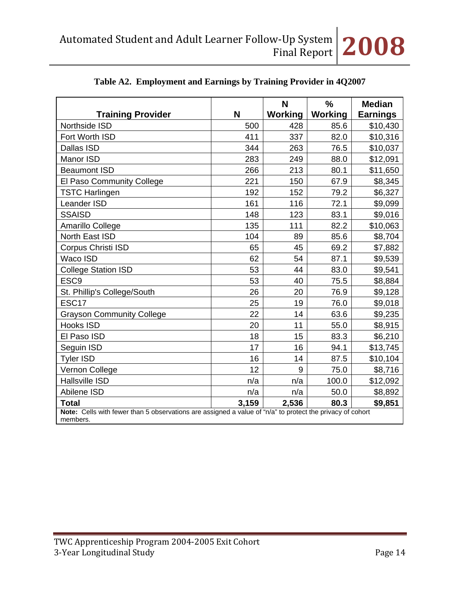| <b>Training Provider</b>                                                                                              | N     | N<br>Working | $\frac{0}{0}$<br><b>Working</b> | <b>Median</b><br><b>Earnings</b> |
|-----------------------------------------------------------------------------------------------------------------------|-------|--------------|---------------------------------|----------------------------------|
| Northside ISD                                                                                                         | 500   | 428          | 85.6                            | \$10,430                         |
| Fort Worth ISD                                                                                                        | 411   | 337          | 82.0                            | \$10,316                         |
| Dallas ISD                                                                                                            | 344   | 263          | 76.5                            | \$10,037                         |
| Manor ISD                                                                                                             | 283   | 249          | 88.0                            | \$12,091                         |
| <b>Beaumont ISD</b>                                                                                                   | 266   | 213          | 80.1                            | \$11,650                         |
| El Paso Community College                                                                                             | 221   | 150          | 67.9                            | \$8,345                          |
| <b>TSTC Harlingen</b>                                                                                                 | 192   | 152          | 79.2                            | \$6,327                          |
| Leander ISD                                                                                                           | 161   | 116          | 72.1                            | \$9,099                          |
| <b>SSAISD</b>                                                                                                         | 148   | 123          | 83.1                            | \$9,016                          |
| Amarillo College                                                                                                      | 135   | 111          | 82.2                            | \$10,063                         |
| North East ISD                                                                                                        | 104   | 89           | 85.6                            | \$8,704                          |
| Corpus Christi ISD                                                                                                    | 65    | 45           | 69.2                            | \$7,882                          |
| Waco ISD                                                                                                              | 62    | 54           | 87.1                            | \$9,539                          |
| <b>College Station ISD</b>                                                                                            | 53    | 44           | 83.0                            | \$9,541                          |
| ESC <sub>9</sub>                                                                                                      | 53    | 40           | 75.5                            | \$8,884                          |
| St. Phillip's College/South                                                                                           | 26    | 20           | 76.9                            | \$9,128                          |
| ESC17                                                                                                                 | 25    | 19           | 76.0                            | \$9,018                          |
| <b>Grayson Community College</b>                                                                                      | 22    | 14           | 63.6                            | \$9,235                          |
| Hooks ISD                                                                                                             | 20    | 11           | 55.0                            | \$8,915                          |
| El Paso ISD                                                                                                           | 18    | 15           | 83.3                            | \$6,210                          |
| Seguin ISD                                                                                                            | 17    | 16           | 94.1                            | \$13,745                         |
| <b>Tyler ISD</b>                                                                                                      | 16    | 14           | 87.5                            | \$10,104                         |
| Vernon College                                                                                                        | 12    | 9            | 75.0                            | \$8,716                          |
| <b>Hallsville ISD</b>                                                                                                 | n/a   | n/a          | 100.0                           | \$12,092                         |
| Abilene ISD                                                                                                           | n/a   | n/a          | 50.0                            | \$8,892                          |
| <b>Total</b>                                                                                                          | 3,159 | 2,536        | 80.3                            | \$9,851                          |
| Note: Cells with fewer than 5 observations are assigned a value of "n/a" to protect the privacy of cohort<br>members. |       |              |                                 |                                  |

## **Table A2. Employment and Earnings by Training Provider in 4Q2007**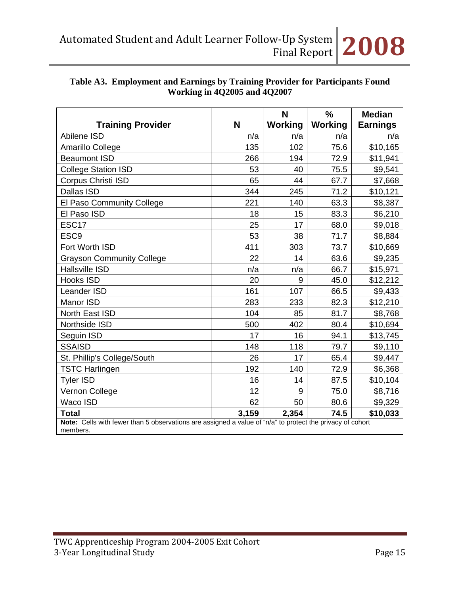## **Table A3. Employment and Earnings by Training Provider for Participants Found Working in 4Q2005 and 4Q2007**

| <b>Training Provider</b>                                                                                              | N     | N<br>Working | $\frac{0}{0}$<br><b>Working</b> | <b>Median</b><br><b>Earnings</b> |
|-----------------------------------------------------------------------------------------------------------------------|-------|--------------|---------------------------------|----------------------------------|
| Abilene ISD                                                                                                           | n/a   | n/a          | n/a                             | n/a                              |
| Amarillo College                                                                                                      | 135   | 102          | 75.6                            | \$10,165                         |
| <b>Beaumont ISD</b>                                                                                                   | 266   | 194          | 72.9                            | \$11,941                         |
| <b>College Station ISD</b>                                                                                            | 53    | 40           | 75.5                            | \$9,541                          |
| Corpus Christi ISD                                                                                                    | 65    | 44           | 67.7                            | \$7,668                          |
| Dallas ISD                                                                                                            | 344   | 245          | 71.2                            | \$10,121                         |
| El Paso Community College                                                                                             | 221   | 140          | 63.3                            | \$8,387                          |
| El Paso ISD                                                                                                           | 18    | 15           | 83.3                            | \$6,210                          |
| ESC17                                                                                                                 | 25    | 17           | 68.0                            | \$9,018                          |
| ESC <sub>9</sub>                                                                                                      | 53    | 38           | 71.7                            | \$8,884                          |
| Fort Worth ISD                                                                                                        | 411   | 303          | 73.7                            | \$10,669                         |
| <b>Grayson Community College</b>                                                                                      | 22    | 14           | 63.6                            | \$9,235                          |
| <b>Hallsville ISD</b>                                                                                                 | n/a   | n/a          | 66.7                            | \$15,971                         |
| Hooks ISD                                                                                                             | 20    | 9            | 45.0                            | \$12,212                         |
| <b>Leander ISD</b>                                                                                                    | 161   | 107          | 66.5                            | \$9,433                          |
| Manor ISD                                                                                                             | 283   | 233          | 82.3                            | \$12,210                         |
| North East ISD                                                                                                        | 104   | 85           | 81.7                            | \$8,768                          |
| Northside ISD                                                                                                         | 500   | 402          | 80.4                            | \$10,694                         |
| Seguin ISD                                                                                                            | 17    | 16           | 94.1                            | \$13,745                         |
| <b>SSAISD</b>                                                                                                         | 148   | 118          | 79.7                            | \$9,110                          |
| St. Phillip's College/South                                                                                           | 26    | 17           | 65.4                            | \$9,447                          |
| <b>TSTC Harlingen</b>                                                                                                 | 192   | 140          | 72.9                            | \$6,368                          |
| <b>Tyler ISD</b>                                                                                                      | 16    | 14           | 87.5                            | \$10,104                         |
| Vernon College                                                                                                        | 12    | 9            | 75.0                            | \$8,716                          |
| Waco ISD                                                                                                              | 62    | 50           | 80.6                            | \$9,329                          |
| <b>Total</b>                                                                                                          | 3,159 | 2,354        | 74.5                            | \$10,033                         |
| Note: Cells with fewer than 5 observations are assigned a value of "n/a" to protect the privacy of cohort<br>members. |       |              |                                 |                                  |